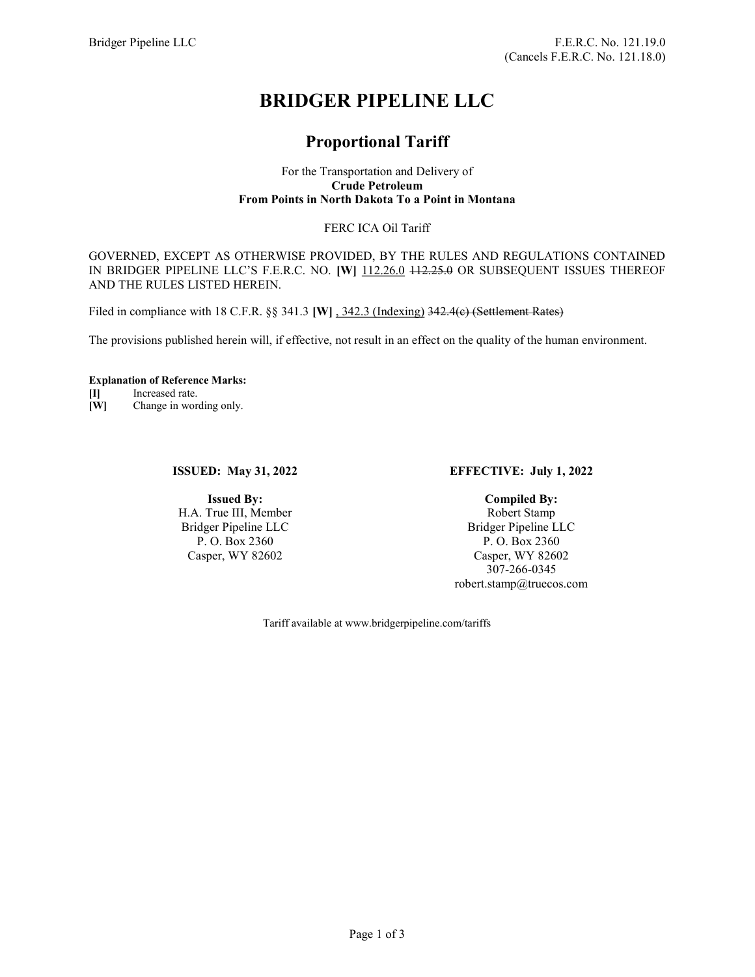# BRIDGER PIPELINE LLC

# Proportional Tariff

#### For the Transportation and Delivery of Crude Petroleum From Points in North Dakota To a Point in Montana

## FERC ICA Oil Tariff

GOVERNED, EXCEPT AS OTHERWISE PROVIDED, BY THE RULES AND REGULATIONS CONTAINED IN BRIDGER PIPELINE LLC'S F.E.R.C. NO. [W] 112.26.0 112.25.0 OR SUBSEQUENT ISSUES THEREOF AND THE RULES LISTED HEREIN.

Filed in compliance with 18 C.F.R. §§ 341.3 [W], 342.3 (Indexing) 342.4(e) (Settlement Rates)

The provisions published herein will, if effective, not result in an effect on the quality of the human environment.

#### Explanation of Reference Marks:

[I] Increased rate.

[W] Change in wording only.

### ISSUED: May 31, 2022

Issued By: H.A. True III, Member Bridger Pipeline LLC P. O. Box 2360 Casper, WY 82602

### EFFECTIVE: July 1, 2022

Compiled By: Robert Stamp Bridger Pipeline LLC P. O. Box 2360 Casper, WY 82602 307-266-0345 robert.stamp@truecos.com

Tariff available at www.bridgerpipeline.com/tariffs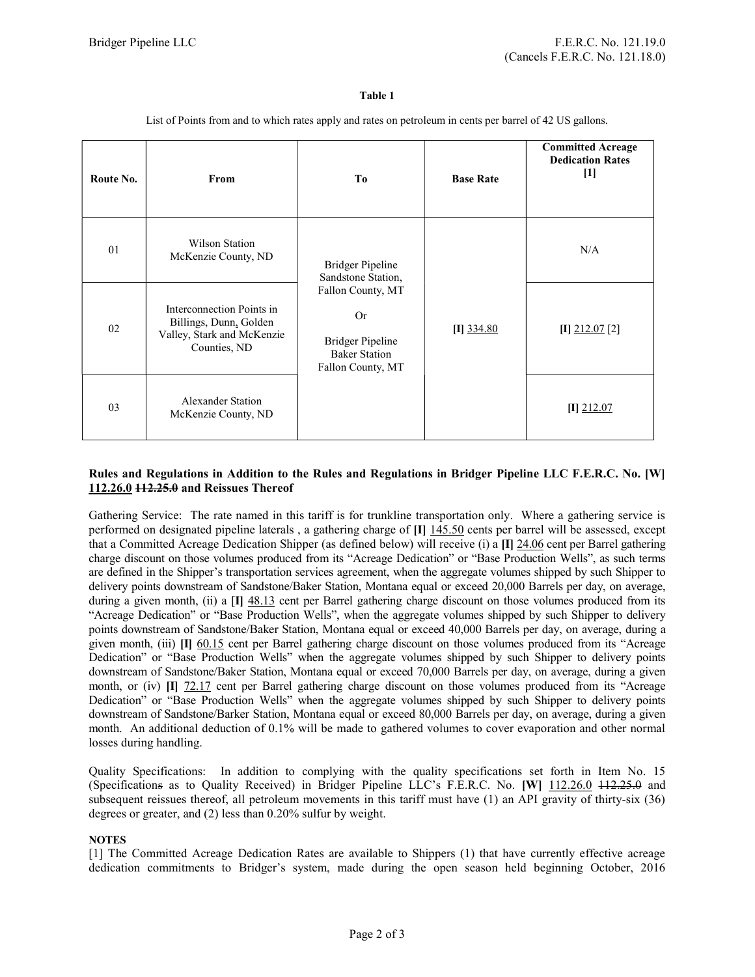#### Table 1

List of Points from and to which rates apply and rates on petroleum in cents per barrel of 42 US gallons.

| Route No. | From                                                                                              | T <sub>0</sub>                                                                                                                                          | <b>Base Rate</b> | <b>Committed Acreage</b><br><b>Dedication Rates</b><br>$[1]$ |
|-----------|---------------------------------------------------------------------------------------------------|---------------------------------------------------------------------------------------------------------------------------------------------------------|------------------|--------------------------------------------------------------|
| 01        | Wilson Station<br>McKenzie County, ND                                                             | <b>Bridger Pipeline</b><br>Sandstone Station,<br>Fallon County, MT<br><b>Or</b><br><b>Bridger Pipeline</b><br><b>Baker Station</b><br>Fallon County, MT | $[I]$ 334.80     | N/A                                                          |
| 02        | Interconnection Points in<br>Billings, Dunn, Golden<br>Valley, Stark and McKenzie<br>Counties, ND |                                                                                                                                                         |                  | $[I]$ 212.07 $[2]$                                           |
| 03        | <b>Alexander Station</b><br>McKenzie County, ND                                                   |                                                                                                                                                         |                  | $[I]$ 212.07                                                 |

### Rules and Regulations in Addition to the Rules and Regulations in Bridger Pipeline LLC F.E.R.C. No. [W] 112.26.0 112.25.0 and Reissues Thereof

Gathering Service: The rate named in this tariff is for trunkline transportation only. Where a gathering service is performed on designated pipeline laterals, a gathering charge of  $\Pi$   $\frac{145.50}{145.50}$  cents per barrel will be assessed, except that a Committed Acreage Dedication Shipper (as defined below) will receive (i) a [I] 24.06 cent per Barrel gathering charge discount on those volumes produced from its "Acreage Dedication" or "Base Production Wells", as such terms are defined in the Shipper's transportation services agreement, when the aggregate volumes shipped by such Shipper to delivery points downstream of Sandstone/Baker Station, Montana equal or exceed 20,000 Barrels per day, on average, during a given month, (ii) a  $[I]$   $\frac{48.13}{2}$  cent per Barrel gathering charge discount on those volumes produced from its "Acreage Dedication" or "Base Production Wells", when the aggregate volumes shipped by such Shipper to delivery points downstream of Sandstone/Baker Station, Montana equal or exceed 40,000 Barrels per day, on average, during a given month, (iii)  $\pi$  60.15 cent per Barrel gathering charge discount on those volumes produced from its "Acreage Dedication" or "Base Production Wells" when the aggregate volumes shipped by such Shipper to delivery points downstream of Sandstone/Baker Station, Montana equal or exceed 70,000 Barrels per day, on average, during a given month, or (iv)  $\begin{bmatrix} \Pi & 72.17 \end{bmatrix}$  cent per Barrel gathering charge discount on those volumes produced from its "Acreage Dedication" or "Base Production Wells" when the aggregate volumes shipped by such Shipper to delivery points downstream of Sandstone/Barker Station, Montana equal or exceed 80,000 Barrels per day, on average, during a given month. An additional deduction of 0.1% will be made to gathered volumes to cover evaporation and other normal losses during handling.

Quality Specifications: In addition to complying with the quality specifications set forth in Item No. 15 (Specifications as to Quality Received) in Bridger Pipeline LLC's F.E.R.C. No. [W] 112.26.0 112.25.0 and subsequent reissues thereof, all petroleum movements in this tariff must have (1) an API gravity of thirty-six (36) degrees or greater, and (2) less than 0.20% sulfur by weight.

### **NOTES**

[1] The Committed Acreage Dedication Rates are available to Shippers (1) that have currently effective acreage dedication commitments to Bridger's system, made during the open season held beginning October, 2016